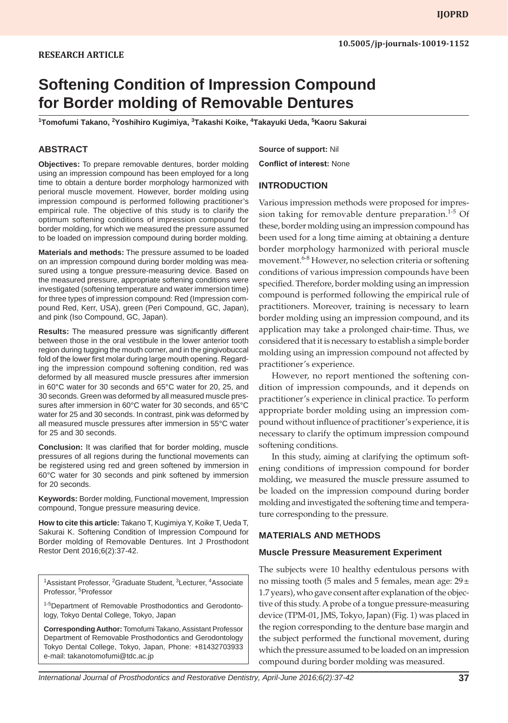# **Softening Condition of Impression Compound for Border molding of Removable Dentures**

**1 Tomofumi Takano, 2 Yoshihiro Kugimiya, 3 Takashi Koike, 4 Takayuki Ueda, <sup>5</sup> Kaoru Sakurai**

## **ABSTRACT**

**Objectives:** To prepare removable dentures, border molding using an impression compound has been employed for a long time to obtain a denture border morphology harmonized with perioral muscle movement. However, border molding using impression compound is performed following practitioner's empirical rule. The objective of this study is to clarify the optimum softening conditions of impression compound for border molding, for which we measured the pressure assumed to be loaded on impression compound during border molding.

**Materials and methods:** The pressure assumed to be loaded on an impression compound during border molding was measured using a tongue pressure-measuring device. Based on the measured pressure, appropriate softening conditions were investigated (softening temperature and water immersion time) for three types of impression compound: Red (Impression compound Red, Kerr, USA), green (Peri Compound, GC, Japan), and pink (Iso Compound, GC, Japan).

**Results:** The measured pressure was significantly different between those in the oral vestibule in the lower anterior tooth region during tugging the mouth corner, and in the gingivobuccal fold of the lower first molar during large mouth opening. Regarding the impression compound softening condition, red was deformed by all measured muscle pressures after immersion in 60°C water for 30 seconds and 65°C water for 20, 25, and 30 seconds. Green was deformed by all measured muscle pressures after immersion in 60°C water for 30 seconds, and 65°C water for 25 and 30 seconds. In contrast, pink was deformed by all measured muscle pressures after immersion in 55°C water for 25 and 30 seconds.

**Conclusion:** It was clarified that for border molding, muscle pressures of all regions during the functional movements can be registered using red and green softened by immersion in 60°C water for 30 seconds and pink softened by immersion for 20 seconds.

**Keywords:** Border molding, Functional movement, Impression compound, Tongue pressure measuring device.

**How to cite this article:** Takano T, Kugimiya Y, Koike T, Ueda T, Sakurai K. Softening Condition of Impression Compound for Border molding of Removable Dentures. Int J Prosthodont Restor Dent 2016;6(2):37-42.

<sup>1</sup>Assistant Professor, <sup>2</sup>Graduate Student, <sup>3</sup>Lecturer, <sup>4</sup>Associate Professor, <sup>5</sup>Professor

<sup>1-5</sup>Department of Removable Prosthodontics and Gerodontology, Tokyo Dental College, Tokyo, Japan

**Corresponding Author:** Tomofumi Takano, Assistant Professor Department of Removable Prosthodontics and Gerodontology Tokyo Dental College, Tokyo, Japan, Phone: +81432703933 e-mail: takanotomofumi@tdc.ac.jp

**Source of support:** Nil

**Conflict of interest:** None

### **INTRODUCTION**

Various impression methods were proposed for impression taking for removable denture preparation. $1-5$  Of these, border molding using an impression compound has been used for a long time aiming at obtaining a denture border morphology harmonized with perioral muscle movement.6-8 However, no selection criteria or softening conditions of various impression compounds have been specified. Therefore, border molding using an impression compound is performed following the empirical rule of practitioners. Moreover, training is necessary to learn border molding using an impression compound, and its application may take a prolonged chair-time. Thus, we considered that it is necessary to establish a simple border molding using an impression compound not affected by practitioner's experience.

However, no report mentioned the softening condition of impression compounds, and it depends on practitioner's experience in clinical practice. To perform appropriate border molding using an impression compound without influence of practitioner's experience, it is necessary to clarify the optimum impression compound softening conditions.

In this study, aiming at clarifying the optimum softening conditions of impression compound for border molding, we measured the muscle pressure assumed to be loaded on the impression compound during border molding and investigated the softening time and temperature corresponding to the pressure.

#### **MATERIALS AND METHODS**

#### **Muscle Pressure Measurement Experiment**

The subjects were 10 healthy edentulous persons with no missing tooth (5 males and 5 females, mean age:  $29 \pm$ 1.7 years), who gave consent after explanation of the objective of this study. A probe of a tongue pressure-measuring device (TPM-01, JMS, Tokyo, Japan) (Fig. 1) was placed in the region corresponding to the denture base margin and the subject performed the functional movement, during which the pressure assumed to be loaded on an impression compound during border molding was measured.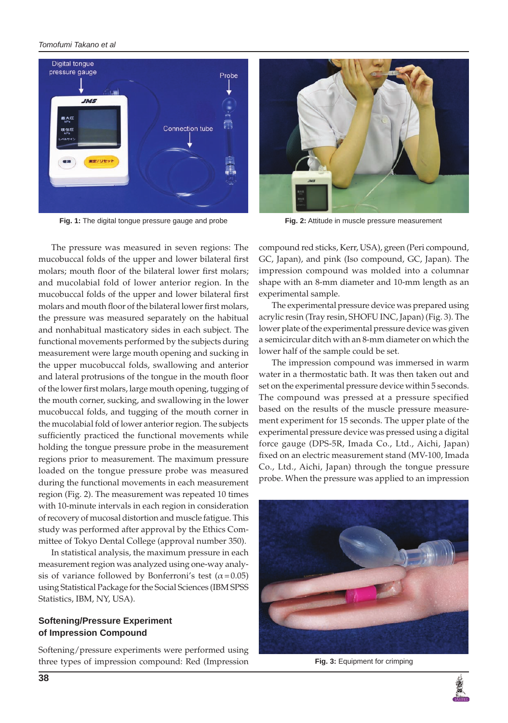#### *Tomofumi Takano et al*



**Fig. 1:** The digital tongue pressure gauge and probe **Fig. 2:** Attitude in muscle pressure measurement

The pressure was measured in seven regions: The mucobuccal folds of the upper and lower bilateral first molars; mouth floor of the bilateral lower first molars; and mucolabial fold of lower anterior region. In the mucobuccal folds of the upper and lower bilateral first molars and mouth floor of the bilateral lower first molars, the pressure was measured separately on the habitual and nonhabitual masticatory sides in each subject. The functional movements performed by the subjects during measurement were large mouth opening and sucking in the upper mucobuccal folds, swallowing and anterior and lateral protrusions of the tongue in the mouth floor of the lower first molars, large mouth opening, tugging of the mouth corner, sucking, and swallowing in the lower mucobuccal folds, and tugging of the mouth corner in the mucolabial fold of lower anterior region. The subjects sufficiently practiced the functional movements while holding the tongue pressure probe in the measurement regions prior to measurement. The maximum pressure loaded on the tongue pressure probe was measured during the functional movements in each measurement region (Fig. 2). The measurement was repeated 10 times with 10-minute intervals in each region in consideration of recovery of mucosal distortion and muscle fatigue. This study was performed after approval by the Ethics Committee of Tokyo Dental College (approval number 350).

In statistical analysis, the maximum pressure in each measurement region was analyzed using one-way analysis of variance followed by Bonferroni's test ( $\alpha$ =0.05) using Statistical Package for the Social Sciences (IBM SPSS Statistics, IBM, NY, USA).

#### **Softening/Pressure Experiment of Impression Compound**

Softening/pressure experiments were performed using three types of impression compound: Red (Impression



compound red sticks, Kerr, USA), green (Peri compound, GC, Japan), and pink (Iso compound, GC, Japan). The impression compound was molded into a columnar shape with an 8-mm diameter and 10-mm length as an experimental sample.

The experimental pressure device was prepared using acrylic resin (Tray resin, SHOFU INC, Japan) (Fig. 3). The lower plate of the experimental pressure device was given a semicircular ditch with an 8-mm diameter on which the lower half of the sample could be set.

The impression compound was immersed in warm water in a thermostatic bath. It was then taken out and set on the experimental pressure device within 5 seconds. The compound was pressed at a pressure specified based on the results of the muscle pressure measurement experiment for 15 seconds. The upper plate of the experimental pressure device was pressed using a digital force gauge (DPS-5R, Imada Co., Ltd., Aichi, Japan) fixed on an electric measurement stand (MV-100, Imada Co., Ltd., Aichi, Japan) through the tongue pressure probe. When the pressure was applied to an impression



**Fig. 3:** Equipment for crimping

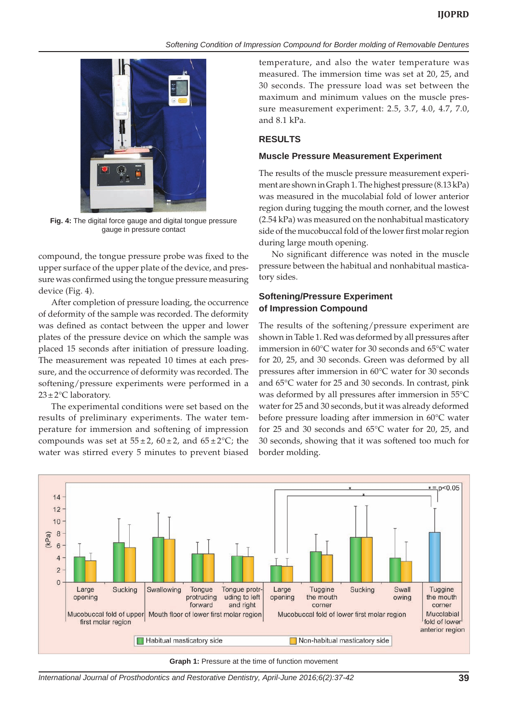#### *Softening Condition of Impression Compound for Border molding of Removable Dentures*



**Fig. 4:** The digital force gauge and digital tongue pressure gauge in pressure contact

compound, the tongue pressure probe was fixed to the upper surface of the upper plate of the device, and pressure was confirmed using the tongue pressure measuring device (Fig. 4).

After completion of pressure loading, the occurrence of deformity of the sample was recorded. The deformity was defined as contact between the upper and lower plates of the pressure device on which the sample was placed 15 seconds after initiation of pressure loading. The measurement was repeated 10 times at each pressure, and the occurrence of deformity was recorded. The softening/pressure experiments were performed in a  $23 \pm 2$ °C laboratory.

The experimental conditions were set based on the results of preliminary experiments. The water temperature for immersion and softening of impression compounds was set at  $55 \pm 2$ ,  $60 \pm 2$ , and  $65 \pm 2$ °C; the water was stirred every 5 minutes to prevent biased

temperature, and also the water temperature was measured. The immersion time was set at 20, 25, and 30 seconds. The pressure load was set between the maximum and minimum values on the muscle pressure measurement experiment: 2.5, 3.7, 4.0, 4.7, 7.0, and 8.1 kPa.

#### **RESULTS**

#### **Muscle Pressure Measurement Experiment**

The results of the muscle pressure measurement experiment are shown in Graph 1. The highest pressure (8.13 kPa) was measured in the mucolabial fold of lower anterior region during tugging the mouth corner, and the lowest (2.54 kPa) was measured on the nonhabitual masticatory side of the mucobuccal fold of the lower first molar region during large mouth opening.

No significant difference was noted in the muscle pressure between the habitual and nonhabitual masticatory sides.

## **Softening/Pressure Experiment of Impression Compound**

The results of the softening/pressure experiment are shown in Table 1. Red was deformed by all pressures after immersion in 60°C water for 30 seconds and 65°C water for 20, 25, and 30 seconds. Green was deformed by all pressures after immersion in 60°C water for 30 seconds and 65°C water for 25 and 30 seconds. In contrast, pink was deformed by all pressures after immersion in 55°C water for 25 and 30 seconds, but it was already deformed before pressure loading after immersion in 60°C water for 25 and 30 seconds and 65°C water for 20, 25, and 30 seconds, showing that it was softened too much for border molding.



**Graph 1:** Pressure at the time of function movement

*International Journal of Prosthodontics and Restorative Dentistry, April-June 2016;6(2):37-42* **39**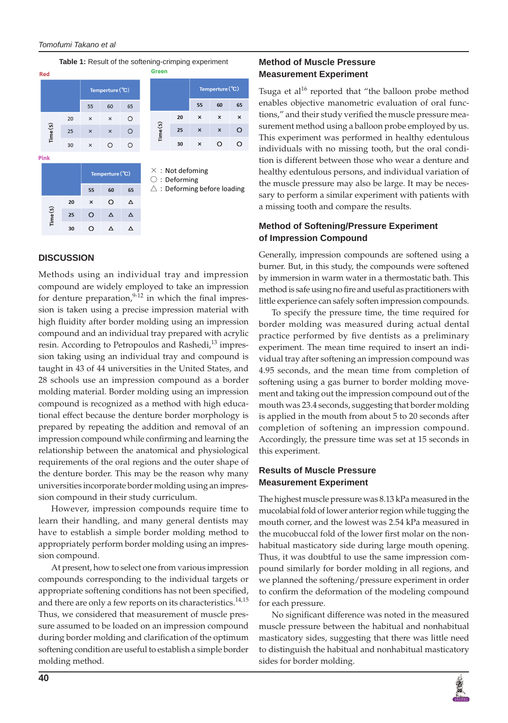#### *Tomofumi Takano et al*

|  | <b>Red</b> |    |                 |          |                 |  | <b>Table 1:</b> Result of the softening-crimping experiment<br>Green |    |                                        |                           |    |  |
|--|------------|----|-----------------|----------|-----------------|--|----------------------------------------------------------------------|----|----------------------------------------|---------------------------|----|--|
|  |            |    | Temperture (°C) |          |                 |  |                                                                      |    | Temperture (°C)                        |                           |    |  |
|  |            |    | 55              | 60       | 65              |  |                                                                      |    | 55                                     | 60                        | 65 |  |
|  | Time(S)    | 20 | $\times$        | ×        | O               |  | Time(S)                                                              | 20 | $\times$                               | $\times$                  | ×  |  |
|  |            | 25 | $\pmb{\times}$  | $\times$ | O               |  |                                                                      | 25 | $\boldsymbol{\mathsf{x}}$              | $\boldsymbol{\mathsf{x}}$ | O  |  |
|  |            | 30 | $\times$        | $\circ$  | $\circ$         |  |                                                                      | 30 | $\boldsymbol{\mathsf{x}}$              | O                         | Ω  |  |
|  | Pink       |    |                 |          |                 |  |                                                                      |    |                                        |                           |    |  |
|  |            |    |                 |          | Temperture (°C) |  | $\times$ : Not defoming<br>$\bigcirc$ : Deforming                    |    |                                        |                           |    |  |
|  |            |    | 55              | 60       | 65              |  |                                                                      |    | $\triangle$ : Deforming before loading |                           |    |  |
|  | Time(S)    | 20 | $\times$        | O        | Δ               |  |                                                                      |    |                                        |                           |    |  |
|  |            | 25 | O               | Δ        | Δ               |  |                                                                      |    |                                        |                           |    |  |
|  |            | 30 | O               | Δ        | Δ               |  |                                                                      |    |                                        |                           |    |  |

#### **DISCUSSION**

Methods using an individual tray and impression compound are widely employed to take an impression for denture preparation, $9-12$  in which the final impression is taken using a precise impression material with high fluidity after border molding using an impression compound and an individual tray prepared with acrylic resin. According to Petropoulos and Rashedi,<sup>13</sup> impression taking using an individual tray and compound is taught in 43 of 44 universities in the United States, and 28 schools use an impression compound as a border molding material. Border molding using an impression compound is recognized as a method with high educational effect because the denture border morphology is prepared by repeating the addition and removal of an impression compound while confirming and learning the relationship between the anatomical and physiological requirements of the oral regions and the outer shape of the denture border. This may be the reason why many universities incorporate border molding using an impression compound in their study curriculum.

However, impression compounds require time to learn their handling, and many general dentists may have to establish a simple border molding method to appropriately perform border molding using an impression compound.

At present, how to select one from various impression compounds corresponding to the individual targets or appropriate softening conditions has not been specified, and there are only a few reports on its characteristics.<sup>14,15</sup> Thus, we considered that measurement of muscle pressure assumed to be loaded on an impression compound during border molding and clarification of the optimum softening condition are useful to establish a simple border molding method.

### **Method of Muscle Pressure Measurement Experiment**

Tsuga et al<sup>16</sup> reported that "the balloon probe method enables objective manometric evaluation of oral functions," and their study verified the muscle pressure measurement method using a balloon probe employed by us. This experiment was performed in healthy edentulous individuals with no missing tooth, but the oral condition is different between those who wear a denture and healthy edentulous persons, and individual variation of the muscle pressure may also be large. It may be necessary to perform a similar experiment with patients with a missing tooth and compare the results.

#### **Method of Softening/Pressure Experiment of Impression Compound**

Generally, impression compounds are softened using a burner. But, in this study, the compounds were softened by immersion in warm water in a thermostatic bath. This method is safe using no fire and useful as practitioners with little experience can safely soften impression compounds.

To specify the pressure time, the time required for border molding was measured during actual dental practice performed by five dentists as a preliminary experiment. The mean time required to insert an individual tray after softening an impression compound was 4.95 seconds, and the mean time from completion of softening using a gas burner to border molding movement and taking out the impression compound out of the mouth was 23.4 seconds, suggesting that border molding is applied in the mouth from about 5 to 20 seconds after completion of softening an impression compound. Accordingly, the pressure time was set at 15 seconds in this experiment.

### **Results of Muscle Pressure Measurement Experiment**

The highest muscle pressure was 8.13 kPa measured in the mucolabial fold of lower anterior region while tugging the mouth corner, and the lowest was 2.54 kPa measured in the mucobuccal fold of the lower first molar on the nonhabitual masticatory side during large mouth opening. Thus, it was doubtful to use the same impression compound similarly for border molding in all regions, and we planned the softening/pressure experiment in order to confirm the deformation of the modeling compound for each pressure.

No significant difference was noted in the measured muscle pressure between the habitual and nonhabitual masticatory sides, suggesting that there was little need to distinguish the habitual and nonhabitual masticatory sides for border molding.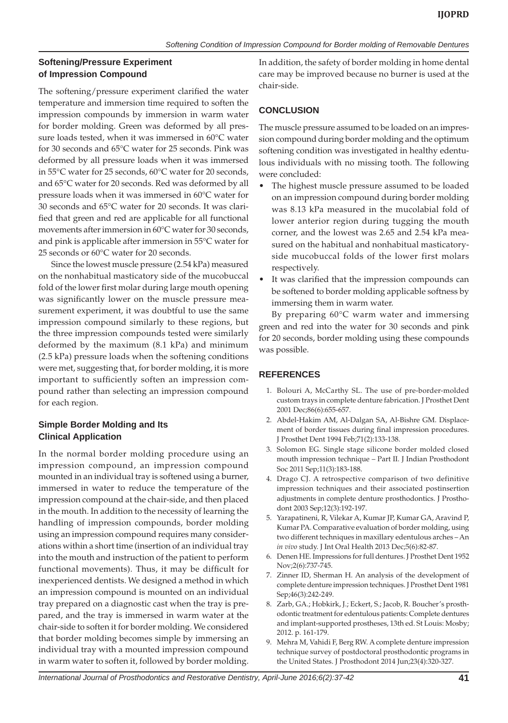# **Softening/Pressure Experiment of Impression Compound**

The softening/pressure experiment clarified the water temperature and immersion time required to soften the impression compounds by immersion in warm water for border molding. Green was deformed by all pressure loads tested, when it was immersed in 60°C water for 30 seconds and 65°C water for 25 seconds. Pink was deformed by all pressure loads when it was immersed in 55°C water for 25 seconds, 60°C water for 20 seconds, and 65°C water for 20 seconds. Red was deformed by all pressure loads when it was immersed in 60°C water for 30 seconds and 65°C water for 20 seconds. It was clarified that green and red are applicable for all functional movements after immersion in 60°C water for 30 seconds, and pink is applicable after immersion in 55°C water for 25 seconds or 60°C water for 20 seconds.

Since the lowest muscle pressure (2.54 kPa) measured on the nonhabitual masticatory side of the mucobuccal fold of the lower first molar during large mouth opening was significantly lower on the muscle pressure measurement experiment, it was doubtful to use the same impression compound similarly to these regions, but the three impression compounds tested were similarly deformed by the maximum (8.1 kPa) and minimum (2.5 kPa) pressure loads when the softening conditions were met, suggesting that, for border molding, it is more important to sufficiently soften an impression compound rather than selecting an impression compound for each region.

## **Simple Border Molding and Its Clinical Application**

In the normal border molding procedure using an impression compound, an impression compound mounted in an individual tray is softened using a burner, immersed in water to reduce the temperature of the impression compound at the chair-side, and then placed in the mouth. In addition to the necessity of learning the handling of impression compounds, border molding using an impression compound requires many considerations within a short time (insertion of an individual tray into the mouth and instruction of the patient to perform functional movements). Thus, it may be difficult for inexperienced dentists. We designed a method in which an impression compound is mounted on an individual tray prepared on a diagnostic cast when the tray is prepared, and the tray is immersed in warm water at the chair-side to soften it for border molding. We considered that border molding becomes simple by immersing an individual tray with a mounted impression compound in warm water to soften it, followed by border molding.

In addition, the safety of border molding in home dental care may be improved because no burner is used at the chair-side.

# **CONCLUSION**

The muscle pressure assumed to be loaded on an impression compound during border molding and the optimum softening condition was investigated in healthy edentulous individuals with no missing tooth. The following were concluded:

- The highest muscle pressure assumed to be loaded on an impression compound during border molding was 8.13 kPa measured in the mucolabial fold of lower anterior region during tugging the mouth corner, and the lowest was 2.65 and 2.54 kPa measured on the habitual and nonhabitual masticatoryside mucobuccal folds of the lower first molars respectively.
- It was clarified that the impression compounds can be softened to border molding applicable softness by immersing them in warm water.

By preparing 60°C warm water and immersing green and red into the water for 30 seconds and pink for 20 seconds, border molding using these compounds was possible.

# **REFERENCES**

- 1. Bolouri A, McCarthy SL. The use of pre-border-molded custom trays in complete denture fabrication. J Prosthet Dent 2001 Dec;86(6):655-657.
- 2. Abdel-Hakim AM, Al-Dalgan SA, Al-Bishre GM. Displacement of border tissues during final impression procedures. J Prosthet Dent 1994 Feb;71(2):133-138.
- 3. Solomon EG. Single stage silicone border molded closed mouth impression technique – Part II. J Indian Prosthodont Soc 2011 Sep;11(3):183-188.
- 4. Drago CJ. A retrospective comparison of two definitive impression techniques and their associated postinsertion adjustments in complete denture prosthodontics. J Prosthodont 2003 Sep;12(3):192-197.
- 5. Yarapatineni, R, Vilekar A, Kumar JP, Kumar GA, Aravind P, Kumar PA. Comparative evaluation of border molding, using two different techniques in maxillary edentulous arches – An *in vivo* study. J Int Oral Health 2013 Dec;5(6):82-87.
- 6. Denen HE. Impressions for full dentures. J Prosthet Dent 1952 Nov;2(6):737-745.
- 7. Zinner ID, Sherman H. An analysis of the development of complete denture impression techniques. J Prosthet Dent 1981 Sep;46(3):242-249.
- 8. Zarb, GA.; Hobkirk, J.; Eckert, S.; Jacob, R. Boucher's prosthodontic treatment for edentulous patients: Complete dentures and implant-supported prostheses, 13th ed. St Louis: Mosby; 2012. p. 161-179.
- 9. Mehra M, Vahidi F, Berg RW. A complete denture impression technique survey of postdoctoral prosthodontic programs in the United States. J Prosthodont 2014 Jun;23(4):320-327.

*International Journal of Prosthodontics and Restorative Dentistry, April-June 2016;6(2):37-42* **41**